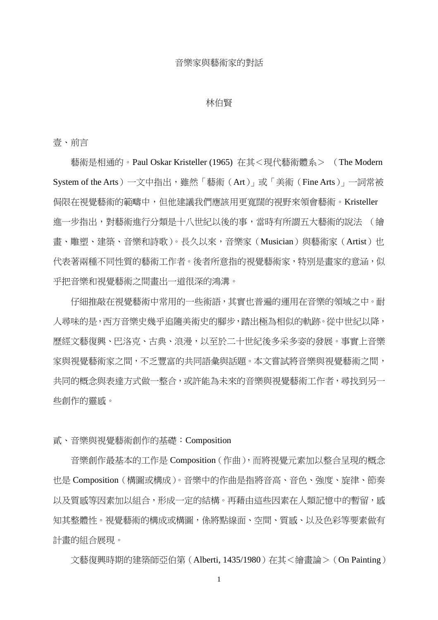## 音樂家與藝術家的對話

## 林伯賢

壹、前言

藝術是相通的。Paul Oskar Kristeller (1965) 在其<現代藝術體系> (The Modern System of the Arts)一文中指出,雖然「藝術(Art)」或「美術(Fine Arts)」一詞常被 侷限在視覺藝術的範疇中,但他建議我們應該用更寬闊的視野來領會藝術。Kristeller 進一步指出,對藝術進行分類是十八世紀以後的事,當時有所謂五大藝術的說法 (繪 書、雕塑、建築、音樂和詩歌)。長久以來,音樂家 (Musician) 與藝術家 (Artist) 也 代表著兩種不同性質的藝術工作者。後者所意指的視覺藝術家,特別是書家的意涵,似 乎把音樂和視覺藝術之間畫出一道很深的鴻溝。

仔細推敲在視覺藝術中常用的一些術語,其實也普遍的運用在音樂的領域之中。耐 人尋味的是,西方音樂史幾乎追隨美術史的腳步,踏出極為相似的軌跡。從中世紀以降, 歷經文藝復興、巴洛克、古典、浪漫,以至於二十世紀後多采多姿的發展。事實上音樂 家與視覺藝術家之間,不乏豐富的共同語彙與話題。本文嘗試將音樂與視覺藝術之間, 共同的概念與表達方式做一整合,或許能為未來的音樂與視覺藝術工作者,尋找到另一 些創作的靈感。

貳、音樂與視覺藝術創作的基礎:Composition

音樂創作最基本的工作是 Composition(作曲),而將視覺元素加以整合呈現的概念 也是 Composition(構圖或構成)。音樂中的作曲是指將音高、音色、強度、旋律、節奏 以及質感等因素加以組合,形成一定的結構。再藉由這些因素在人類記憶中的暫留,感 知其整體性。視覺藝術的構成或構圖,係將點線面、空間、質感、以及色彩等要素做有 計畫的組合展現。

文藝復興時期的建築師亞伯第(Alberti, 1435/1980)在其<繪畫論>(On Painting)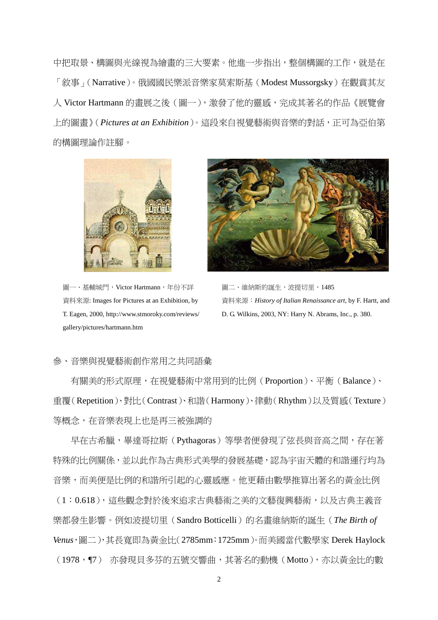中把取景、構圖與光線視為繪畫的三大要素。他進一步指出,整個構圖的工作,就是在 「敘事」(Narrative)。俄國國民樂派音樂家莫索斯基(Modest Mussorgsky)在觀賞其友 人 Victor Hartmann 的書展之後(圖一), 激發了他的靈感, 完成其著名的作品《展覽會 上的圖畫》(*Pictures at an Exhibition*)。這段來自視覺藝術與音樂的對話,正可為亞伯第 的構圖理論作註腳。



圖一、基輔城門, Victor Hartmann, 年份不詳 資料來源: Images for Pictures at an Exhibition, by T. Eagen, 2000, http://www.stmoroky.com/reviews/ gallery/pictures/hartmann.htm



圖二、維納斯的誕生,波提切里,1485 資料來源:*History of Italian Renaissance art*, by F. Hartt, and D. G. Wilkins, 2003, NY: Harry N. Abrams, Inc., p. 380.

## 參、音樂與視覺藝術創作常用之共同語彙

有關美的形式原理,在視覺藝術中常用到的比例(Proportion)、平衡(Balance)、 重覆(Repetition)、對比(Contrast)、和諧(Harmony)、律動(Rhythm)以及質感(Texture) 等概念,在音樂表現上也是再三被強調的

早在古希臘,畢達哥拉斯(Pythagoras)等學者便發現了弦長與音高之間,存在著 特殊的比例關係,並以此作為古典形式美學的發展基礎,認為宇宙天體的和諧運行均為 音樂,而美便是比例的和諧所引起的心靈感應。他更藉由數學推算出著名的黃金比例 (1:0.618),這些觀念對於後來追求古典藝術之美的文藝復興藝術,以及古典主義音 樂都發生影響。例如波提切里(Sandro Botticelli)的名畫維納斯的誕生(*The Birth of Venus*,圖二),其長寬即為黃金比(2785mm:1725mm)。而美國當代數學家 Derek Haylock (1978,¶7) 亦發現貝多芬的五號交響曲,其著名的動機(Motto),亦以黃金比的數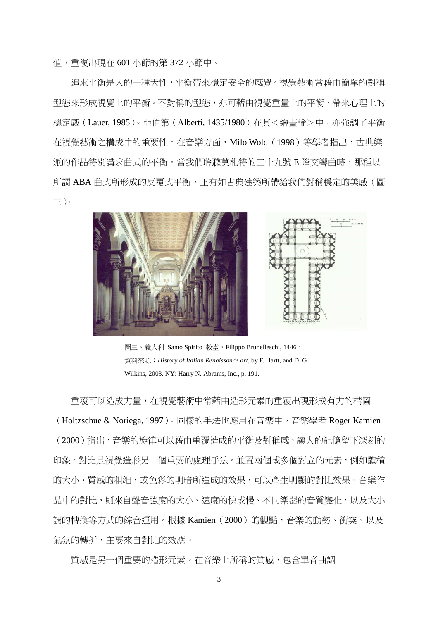值,重複出現在 601 小節的第 372 小節中。

追求平衡是人的一種天性,平衡帶來穩定安全的感覺。視覺藝術常藉由簡單的對稱 型態來形成視覺上的平衡。不對稱的型態,亦可藉由視覺重量上的平衡,帶來心理上的 穩定感 (Lauer, 1985)。亞伯第 (Alberti, 1435/1980) 在其<繪畫論>中,亦強調了平衡 在視覺藝術之構成中的重要性。在音樂方面,Milo Wold(1998)等學者指出,古典樂 派的作品特別講求曲式的平衡。當我們聆聽莫札特的三十九號 E 降交響曲時,那種以 所謂 ABA 曲式所形成的反覆式平衡,正有如古典建築所帶給我們對稱穩定的美感(圖 三)。



圖三、義大利 Santo Spirito 教堂, Filippo Brunelleschi, 1446。 資料來源:*History of Italian Renaissance art*, by F. Hartt, and D. G. Wilkins, 2003. NY: Harry N. Abrams, Inc., p. 191.

重覆可以造成力量,在視覺藝術中常藉由造形元素的重覆出現形成有力的構圖 (Holtzschue & Noriega, 1997)。同樣的手法也應用在音樂中,音樂學者 Roger Kamien (2000)指出,音樂的旋律可以藉由重覆造成的平衡及對稱感,讓人的記憶留下深刻的 印象。對比是視覺造形另一個重要的處理手法。並置兩個或多個對立的元素,例如體積 的大小、質感的粗細,或色彩的明暗所造成的效果,可以產生明顯的對比效果。音樂作 品中的對比,則來自聲音強度的大小、速度的快或慢、不同樂器的音質變化,以及大小 調的轉換等方式的綜合運用。根據 Kamien(2000)的觀點,音樂的動勢、衝突、以及 氣氛的轉折,主要來自對比的效應。

質感是另一個重要的造形元素。在音樂上所稱的質感,包含單音曲調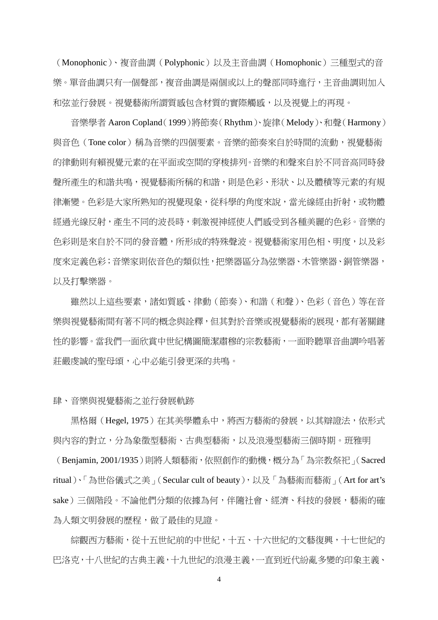(Monophonic)、複音曲調(Polyphonic)以及主音曲調(Homophonic)三種型式的音 樂。單音曲調只有一個聲部,複音曲調是兩個或以上的聲部同時進行,主音曲調則加入 和弦並行發展。視覺藝術所謂質感包含材質的實際觸感,以及視覺上的再現。

音樂學者 Aaron Copland(1999)將節奏(Rhythm)、旋律(Melody)、和聲(Harmony) 與音色(Tone color)稱為音樂的四個要素。音樂的節奏來自於時間的流動,視覺藝術 的律動則有賴視覺元素的在平面或空間的穿梭排列。音樂的和聲來自於不同音高同時發 聲所產生的和諧共鳴,視覺藝術所稱的和諧,則是色彩、形狀、以及體積等元素的有規 律漸變。色彩是大家所熟知的視覺現象,從科學的角度來說,當光線經由折射,或物體 經過光線反射,產生不同的波長時,刺激視神經使人們感受到各種美麗的色彩。音樂的 色彩則是來自於不同的發音體,所形成的特殊聲波。視覺藝術家用色相、明度,以及彩 度來定義色彩;音樂家則依音色的類似性,把樂器區分為弦樂器、木管樂器、銅管樂器, 以及打擊樂器。

雖然以上這些要素,諸如質感、律動(節奏)、和諧(和聲)、色彩(音色)等在音 樂與視覺藝術間有著不同的概念與詮釋,但其對於音樂或視覺藝術的展現,都有著關鍵 性的影響。當我們一面欣賞中世紀構圖簡潔肅穆的宗教藝術,一面聆聽單音曲調吟唱著 莊嚴虔誠的聖母頌,心中必能引發更深的共鳴。

肆、音樂與視覺藝術之並行發展軌跡

黑格爾 (Hegel, 1975) 在其美學體系中,將西方藝術的發展,以其辯證法,依形式 與內容的對立,分為象徵型藝術、古典型藝術,以及浪漫型藝術三個時期。班雅明

(Benjamin, 2001/1935)則將人類藝術,依照創作的動機,概分為「為宗教祭祀」(Sacred ritual)、「為世俗儀式之美」(Secular cult of beauty),以及「為藝術而藝術」(Art for art's sake)三個階段。不論他們分類的依據為何,伴隨社會、經濟、科技的發展,藝術的確 為人類文明發展的歷程,做了最佳的見證。

綜觀西方藝術,從十五世紀前的中世紀,十五、十六世紀的文藝復興,十七世紀的 巴洛克,十八世紀的古典主義,十九世紀的浪漫主義,一直到近代紛亂多變的印象主義、

4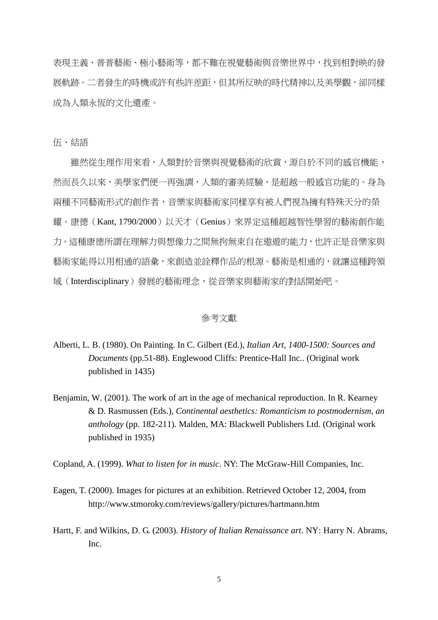表現主義、普普藝術、極小藝術等,都不難在視覺藝術與音樂世界中,找到相對映的發 展軌跡。二者發生的時機或許有些許差距,但其所反映的時代精神以及美學觀,卻同樣 成為人類永恆的文化遺產。

伍、結語

雖然從生理作用來看,人類對於音樂與視覺藝術的欣賞,源自於不同的感官機能, 然而長久以來,美學家們便一再強調,人類的審美經驗,是超越一般感官功能的。身為 兩種不同藝術形式的創作者,音樂家與藝術家同樣享有被人們視為擁有特殊天分的榮 耀。康德(Kant, 1790/2000)以天才(Genius)來界定這種超越智性學習的藝術創作能 力。這種康德所謂在理解力與想像力之間無拘無束自在遨遊的能力,也許正是音樂家與 藝術家能得以用相通的語彙,來創造並詮釋作品的根源。藝術是相通的,就讓這種跨領 域(Interdisciplinary)發展的藝術理念,從音樂家與藝術家的對話開始吧。

## 參考文獻

- Alberti, L. B. (1980). On Painting. In C. Gilbert (Ed.), *Italian Art, 1400-1500: Sources and Documents* (pp.51-88). Englewood Cliffs: Prentice-Hall Inc.. (Original work published in 1435)
- Benjamin, W. (2001). The work of art in the age of mechanical reproduction. In R. Kearney & D. Rasmussen (Eds.), *Continental aesthetics: Romanticism to postmodernism, an anthology* (pp. 182-211). Malden, MA: Blackwell Publishers Ltd. (Original work published in 1935)

Copland, A. (1999). *What to listen for in music*. NY: The McGraw-Hill Companies, Inc.

- Eagen, T. (2000). Images for pictures at an exhibition. Retrieved October 12, 2004, from http://www.stmoroky.com/reviews/gallery/pictures/hartmann.htm
- Hartt, F. and Wilkins, D. G. (2003). *History of Italian Renaissance art*. NY: Harry N. Abrams, Inc.